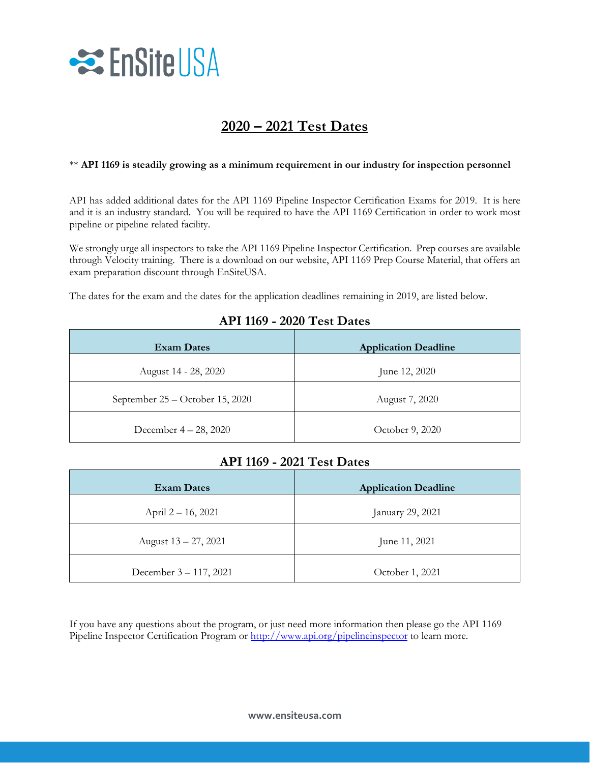

## **2020 – 2021 Test Dates**

## \*\* **API 1169 is steadily growing as a minimum requirement in our industry for inspection personnel**

API has added additional dates for the API 1169 Pipeline Inspector Certification Exams for 2019. It is here and it is an industry standard. You will be required to have the API 1169 Certification in order to work most pipeline or pipeline related facility.

We strongly urge all inspectors to take the API 1169 Pipeline Inspector Certification. Prep courses are available through Velocity training. There is a download on our website, API 1169 Prep Course Material, that offers an exam preparation discount through EnSiteUSA.

The dates for the exam and the dates for the application deadlines remaining in 2019, are listed below.

|  |  | <b>API 1169 - 2020 Test Dates</b> |
|--|--|-----------------------------------|
|--|--|-----------------------------------|

| <b>Exam Dates</b>               | <b>Application Deadline</b> |
|---------------------------------|-----------------------------|
| August 14 - 28, 2020            | June 12, 2020               |
| September 25 – October 15, 2020 | August 7, 2020              |
| December $4 - 28$ , 2020        | October 9, 2020             |

## **API 1169 - 2021 Test Dates**

| <b>Exam Dates</b>       | <b>Application Deadline</b> |
|-------------------------|-----------------------------|
| April 2 – 16, 2021      | January 29, 2021            |
| August $13 - 27$ , 2021 | June 11, 2021               |
| December 3 – 117, 2021  | October 1, 2021             |

If you have any questions about the program, or just need more information then please go the API 1169 Pipeline Inspector Certification Program or<http://www.api.org/pipelineinspector> to learn more.